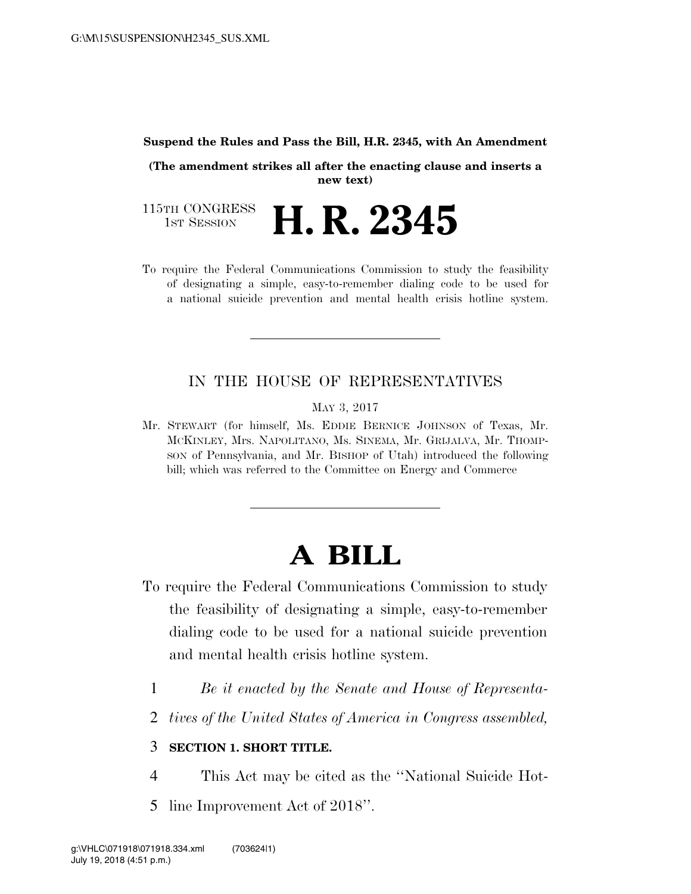#### **Suspend the Rules and Pass the Bill, H.R. 2345, with An Amendment**

**(The amendment strikes all after the enacting clause and inserts a new text)** 

115TH CONGRESS<br>1st Session H. R. 2345

To require the Federal Communications Commission to study the feasibility of designating a simple, easy-to-remember dialing code to be used for a national suicide prevention and mental health crisis hotline system.

### IN THE HOUSE OF REPRESENTATIVES

MAY 3, 2017

Mr. STEWART (for himself, Ms. EDDIE BERNICE JOHNSON of Texas, Mr. MCKINLEY, Mrs. NAPOLITANO, Ms. SINEMA, Mr. GRIJALVA, Mr. THOMP-SON of Pennsylvania, and Mr. BISHOP of Utah) introduced the following bill; which was referred to the Committee on Energy and Commerce

# **A BILL**

- To require the Federal Communications Commission to study the feasibility of designating a simple, easy-to-remember dialing code to be used for a national suicide prevention and mental health crisis hotline system.
	- 1 *Be it enacted by the Senate and House of Representa-*
	- 2 *tives of the United States of America in Congress assembled,*

### 3 **SECTION 1. SHORT TITLE.**

- 4 This Act may be cited as the ''National Suicide Hot-
- 5 line Improvement Act of 2018''.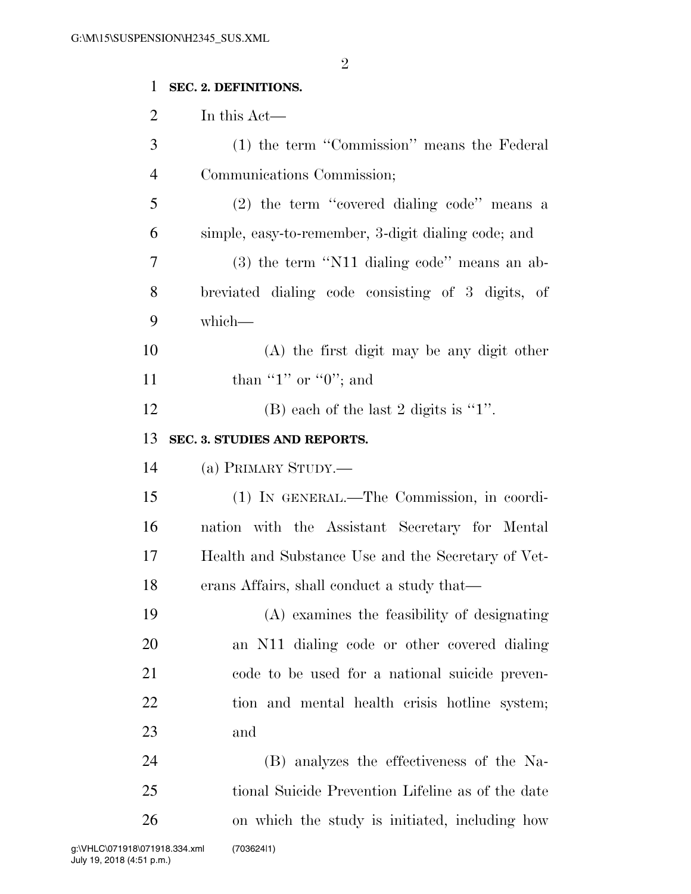## **SEC. 2. DEFINITIONS.**

In this Act—

| 3              | (1) the term "Commission" means the Federal         |
|----------------|-----------------------------------------------------|
| $\overline{4}$ | Communications Commission;                          |
| 5              | $(2)$ the term "covered dialing code" means a       |
| 6              | simple, easy-to-remember, 3-digit dialing code; and |
| 7              | $(3)$ the term "N11 dialing code" means an ab-      |
| 8              | breviated dialing code consisting of 3 digits, of   |
| 9              | which-                                              |
| 10             | (A) the first digit may be any digit other          |
| 11             | than "1" or "0"; and                                |
| 12             | (B) each of the last 2 digits is " $1$ ".           |
| 13             | SEC. 3. STUDIES AND REPORTS.                        |
| 14             | (a) PRIMARY STUDY.—                                 |
| 15             | (1) IN GENERAL.—The Commission, in coordi-          |
| 16             | nation with the Assistant Secretary for Mental      |
| 17             | Health and Substance Use and the Secretary of Vet-  |
| 18             | erans Affairs, shall conduct a study that—          |
| 19             | (A) examines the feasibility of designating         |
| 20             | an N11 dialing code or other covered dialing        |
| 21             | code to be used for a national suicide preven-      |
| 22             | tion and mental health crisis hotline system;       |
| 23             | and                                                 |
| 24             | (B) analyzes the effectiveness of the Na-           |
| 25             | tional Suicide Prevention Lifeline as of the date   |
|                |                                                     |
| 26             | on which the study is initiated, including how      |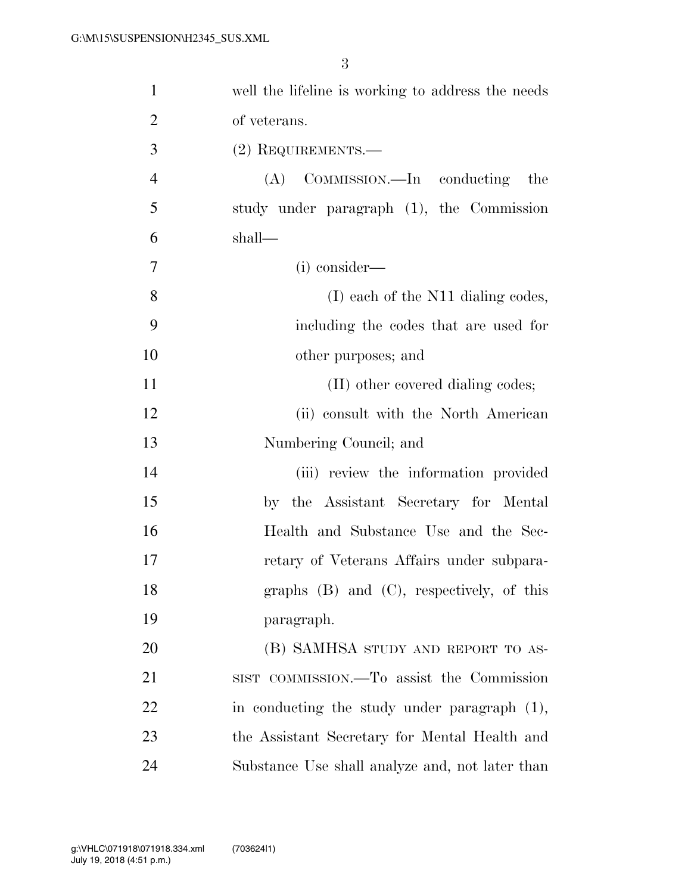| $\mathbf{1}$   | well the lifeline is working to address the needs |
|----------------|---------------------------------------------------|
| $\overline{2}$ | of veterans.                                      |
| 3              | $(2)$ REQUIREMENTS.—                              |
| $\overline{4}$ | (A) COMMISSION.—In conducting the                 |
| 5              | study under paragraph (1), the Commission         |
| 6              | shall—                                            |
| $\tau$         | (i) consider—                                     |
| 8              | (I) each of the N11 dialing codes,                |
| 9              | including the codes that are used for             |
| 10             | other purposes; and                               |
| 11             | (II) other covered dialing codes;                 |
| 12             | (ii) consult with the North American              |
| 13             | Numbering Council; and                            |
| 14             | (iii) review the information provided             |
| 15             | by the Assistant Secretary for Mental             |
| 16             | Health and Substance Use and the Sec-             |
| 17             | retary of Veterans Affairs under subpara-         |
| 18             | graphs (B) and (C), respectively, of this         |
| 19             | paragraph.                                        |
| 20             | (B) SAMHSA STUDY AND REPORT TO AS-                |
| 21             | SIST COMMISSION.—To assist the Commission         |
| 22             | in conducting the study under paragraph $(1)$ ,   |
| 23             | the Assistant Secretary for Mental Health and     |
| 24             | Substance Use shall analyze and, not later than   |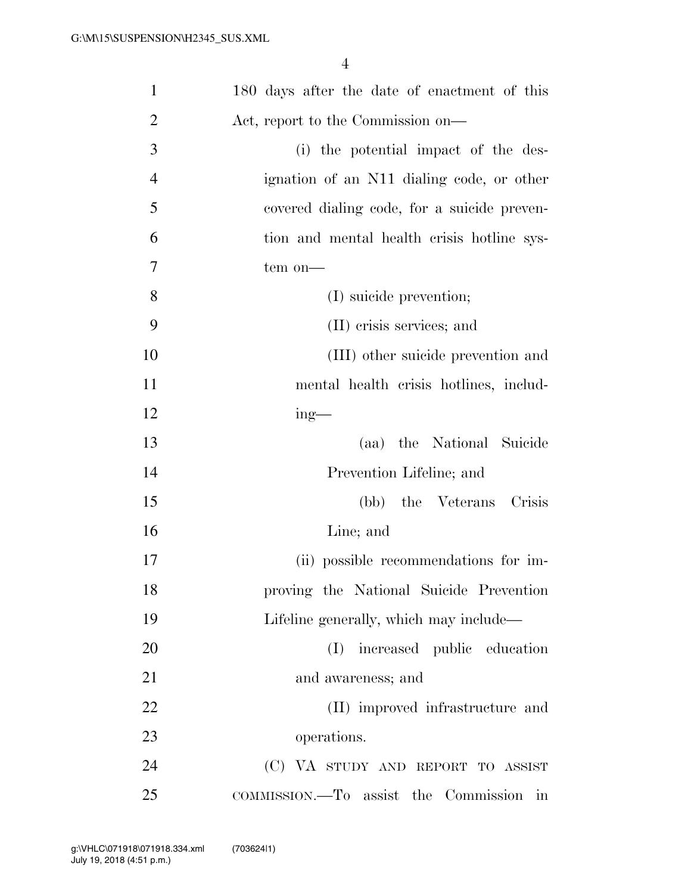| $\mathbf{1}$   | 180 days after the date of enactment of this |
|----------------|----------------------------------------------|
| $\overline{2}$ | Act, report to the Commission on—            |
| 3              | (i) the potential impact of the des-         |
| $\overline{4}$ | ignation of an N11 dialing code, or other    |
| 5              | covered dialing code, for a suicide preven-  |
| 6              | tion and mental health crisis hotline sys-   |
| 7              | tem on-                                      |
| 8              | (I) suicide prevention;                      |
| 9              | (II) crisis services; and                    |
| 10             | (III) other suicide prevention and           |
| 11             | mental health crisis hotlines, includ-       |
| 12             | $ing$ —                                      |
| 13             | (aa) the National Suicide                    |
| 14             | Prevention Lifeline; and                     |
| 15             | (bb) the Veterans Crisis                     |
| 16             | Line; and                                    |
| 17             | (ii) possible recommendations for im-        |
| 18             | proving the National Suicide Prevention      |
| 19             | Lifeline generally, which may include—       |
| 20             | increased public education<br>(I)            |
| 21             | and awareness; and                           |
| 22             | (II) improved infrastructure and             |
| 23             | operations.                                  |
| 24             | (C) VA STUDY AND REPORT TO ASSIST            |
| 25             | COMMISSION.—To assist the Commission<br>in   |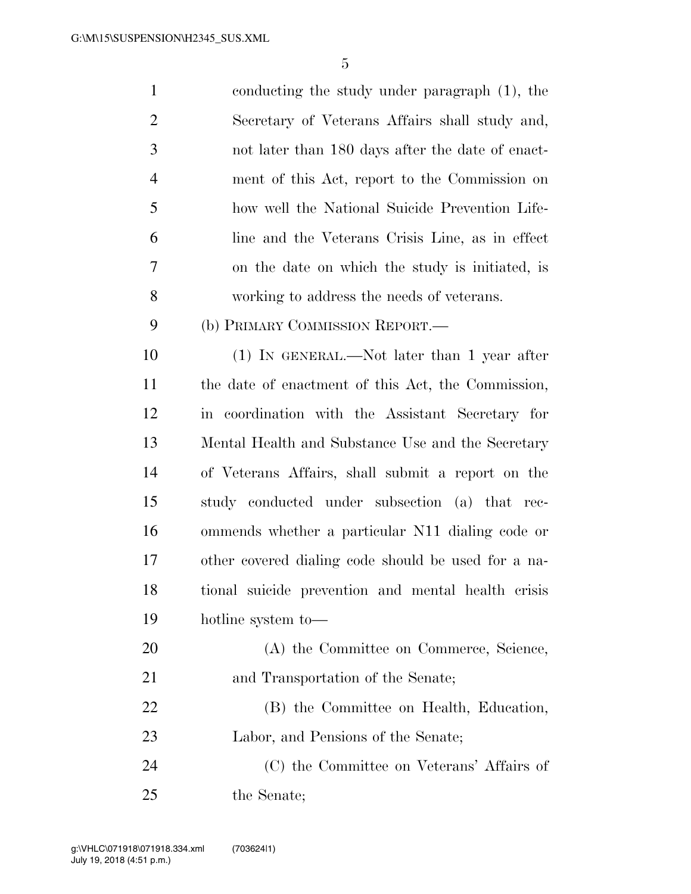| $\mathbf{1}$   | conducting the study under paragraph (1), the      |
|----------------|----------------------------------------------------|
| $\overline{2}$ | Secretary of Veterans Affairs shall study and,     |
| 3              | not later than 180 days after the date of enact-   |
| $\overline{4}$ | ment of this Act, report to the Commission on      |
| 5              | how well the National Suicide Prevention Life-     |
| 6              | line and the Veterans Crisis Line, as in effect    |
| $\overline{7}$ | on the date on which the study is initiated, is    |
| 8              | working to address the needs of veterans.          |
| 9              | (b) PRIMARY COMMISSION REPORT.-                    |
| 10             | (1) IN GENERAL.—Not later than 1 year after        |
| 11             | the date of enactment of this Act, the Commission, |
| 12             | in coordination with the Assistant Secretary for   |
| 13             | Mental Health and Substance Use and the Secretary  |
| 14             | of Veterans Affairs, shall submit a report on the  |
| 15             | study conducted under subsection (a) that rec-     |
|                |                                                    |

 ommends whether a particular N11 dialing code or other covered dialing code should be used for a na- tional suicide prevention and mental health crisis hotline system to—

| 20 | (A) the Committee on Commerce, Science,   |
|----|-------------------------------------------|
| 21 | and Transportation of the Senate;         |
| 22 | (B) the Committee on Health, Education,   |
| 23 | Labor, and Pensions of the Senate;        |
| 24 | (C) the Committee on Veterans' Affairs of |
| 25 | the Senate;                               |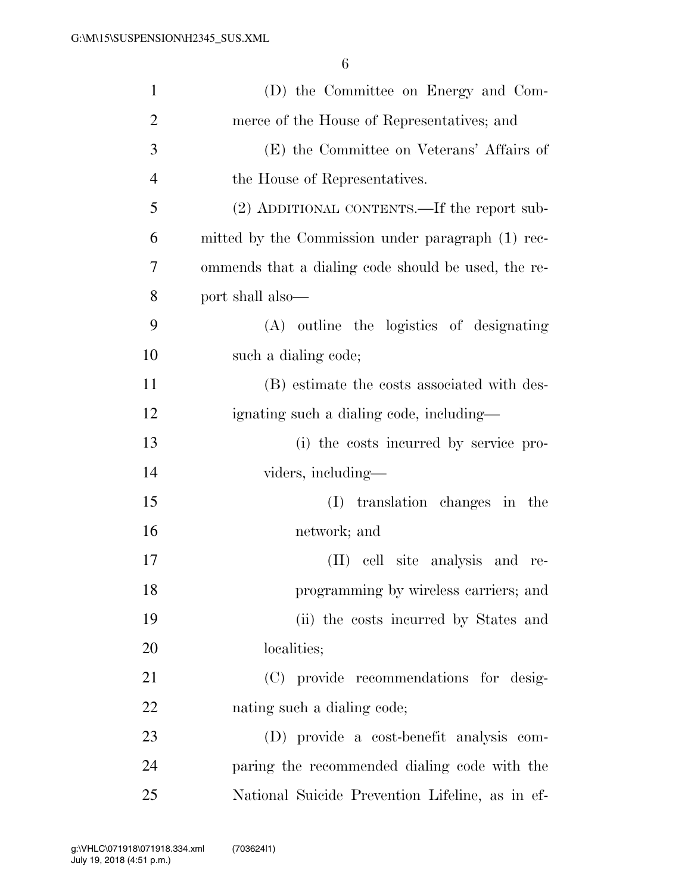| $\mathbf{1}$   | (D) the Committee on Energy and Com-                |
|----------------|-----------------------------------------------------|
| $\overline{2}$ | merce of the House of Representatives; and          |
| 3              | (E) the Committee on Veterans' Affairs of           |
| $\overline{4}$ | the House of Representatives.                       |
| 5              | (2) ADDITIONAL CONTENTS.—If the report sub-         |
| 6              | mitted by the Commission under paragraph (1) rec-   |
| $\overline{7}$ | ommends that a dialing code should be used, the re- |
| 8              | port shall also—                                    |
| 9              | (A) outline the logistics of designating            |
| 10             | such a dialing code;                                |
| 11             | (B) estimate the costs associated with des-         |
| 12             | ignating such a dialing code, including—            |
| 13             | (i) the costs incurred by service pro-              |
| 14             | viders, including—                                  |
| 15             | translation changes in the<br>(I)                   |
| 16             | network; and                                        |
| 17             | (II) cell site analysis and re-                     |
| 18             | programming by wireless carriers; and               |
| 19             | (ii) the costs incurred by States and               |
| 20             | localities;                                         |
| 21             | (C) provide recommendations for desig-              |
| 22             | nating such a dialing code;                         |
| 23             | (D) provide a cost-benefit analysis com-            |
| 24             | paring the recommended dialing code with the        |
| 25             | National Suicide Prevention Lifeline, as in ef-     |